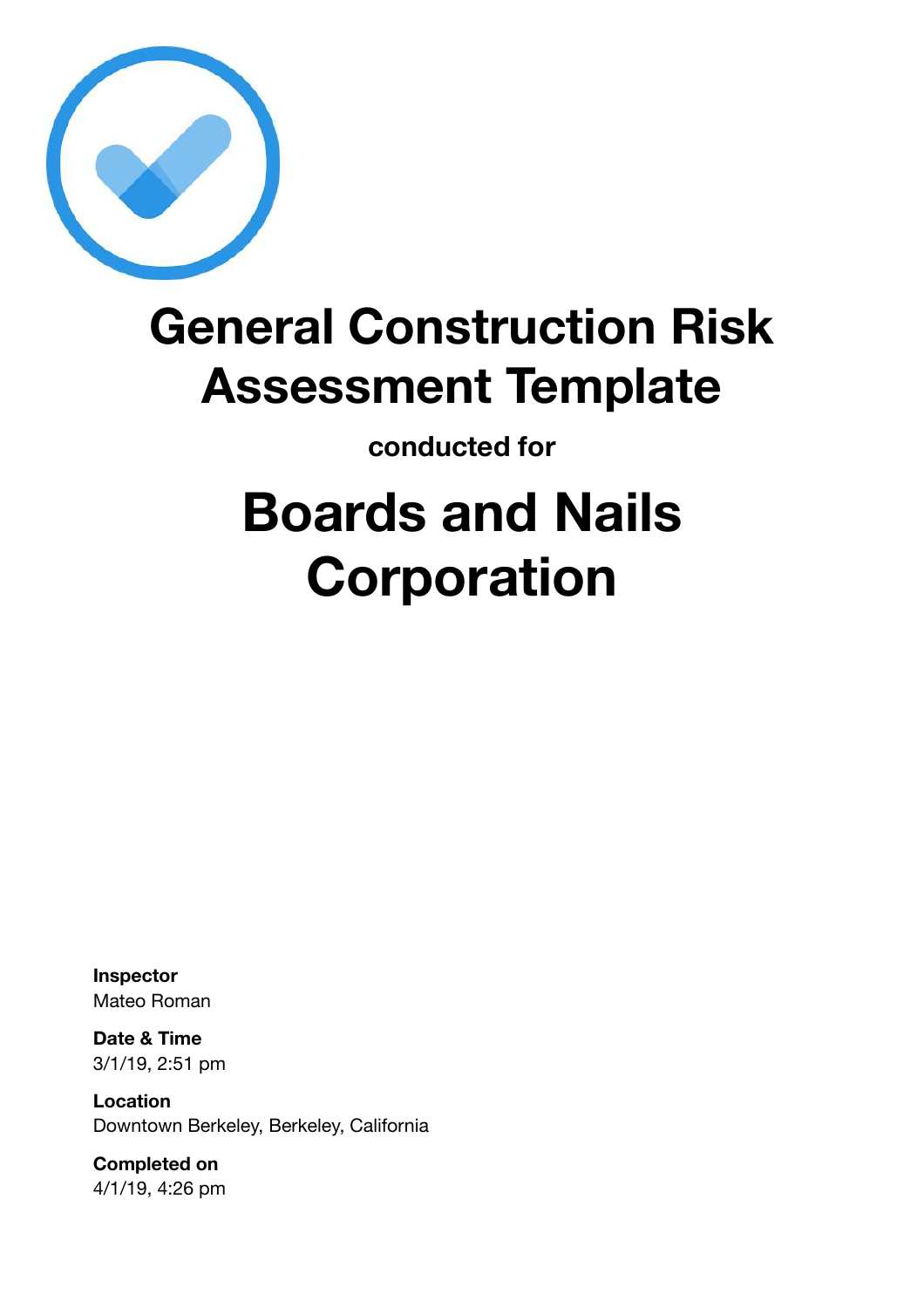

## **General Construction Risk Assessment Template**

**conducted for**

# **Boards and Nails Corporation**

**Inspector** Mateo Roman

**Date & Time** 3/1/19, 2:51 pm

**Location** Downtown Berkeley, Berkeley, California

**Completed on** 4/1/19, 4:26 pm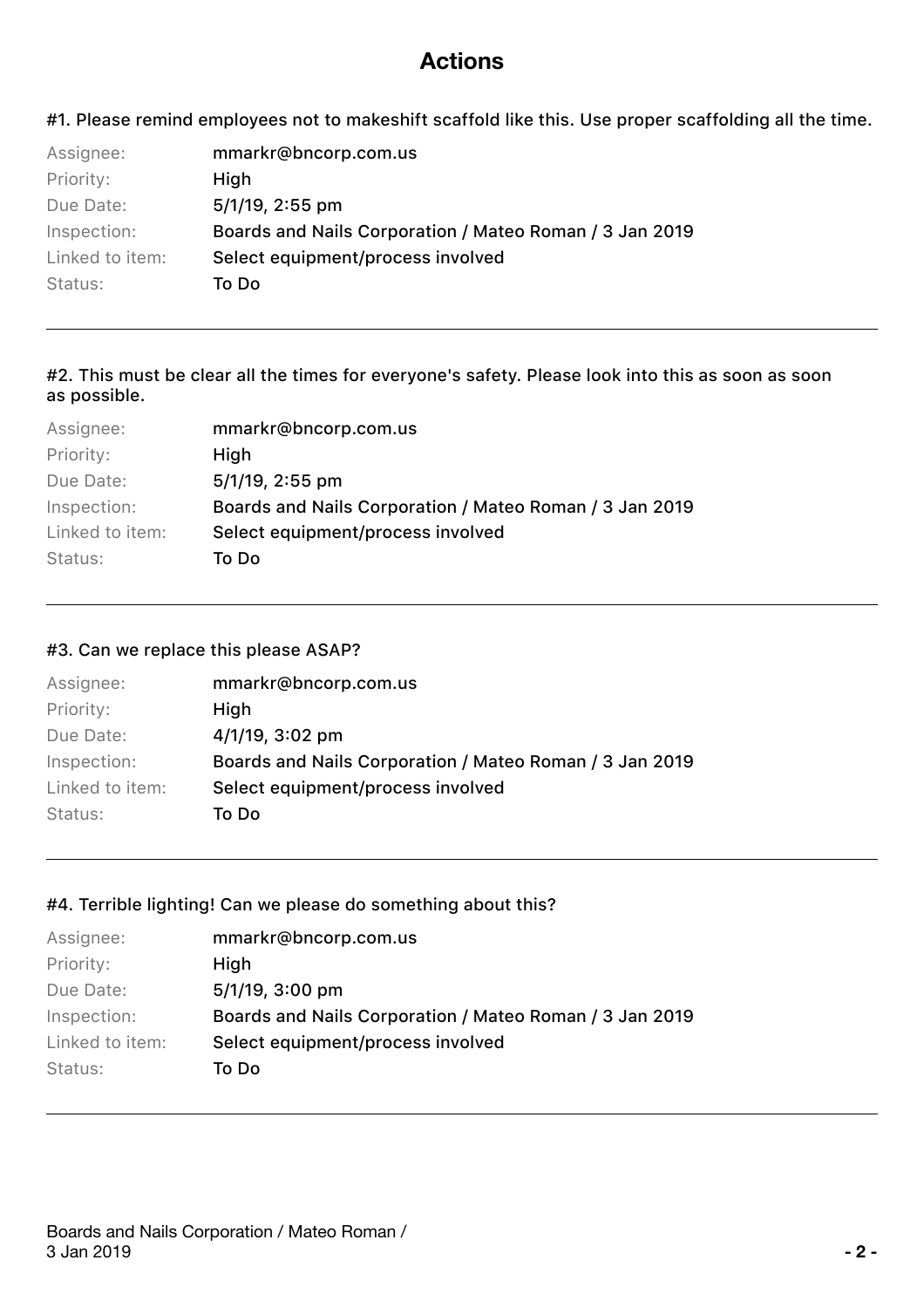### **Actions**

#1. Please remind employees not to makeshift scaffold like this. Use proper scaffolding all the time.

| Assignee:       | mmarkr@bncorp.com.us                                    |
|-----------------|---------------------------------------------------------|
| Priority:       | High                                                    |
| Due Date:       | $5/1/19$ , 2:55 pm                                      |
| Inspection:     | Boards and Nails Corporation / Mateo Roman / 3 Jan 2019 |
| Linked to item: | Select equipment/process involved                       |
| Status:         | To Do                                                   |

#### #2. This must be clear all the times for everyone's safety. Please look into this as soon as soon as possible.

| Assignee:       | mmarkr@bncorp.com.us                                    |
|-----------------|---------------------------------------------------------|
| Priority:       | High                                                    |
| Due Date:       | 5/1/19, 2:55 pm                                         |
| Inspection:     | Boards and Nails Corporation / Mateo Roman / 3 Jan 2019 |
| Linked to item: | Select equipment/process involved                       |
| Status:         | To Do                                                   |
|                 |                                                         |

#### #3. Can we replace this please ASAP?

| Assignee:       | mmarkr@bncorp.com.us                                    |
|-----------------|---------------------------------------------------------|
| Priority:       | High                                                    |
| Due Date:       | $4/1/19$ , 3:02 pm                                      |
| Inspection:     | Boards and Nails Corporation / Mateo Roman / 3 Jan 2019 |
| Linked to item: | Select equipment/process involved                       |
| Status:         | To Do                                                   |

#### #4. Terrible lighting! Can we please do something about this?

| Assignee:       | mmarkr@bncorp.com.us                                    |
|-----------------|---------------------------------------------------------|
| Priority:       | High                                                    |
| Due Date:       | $5/1/19$ , $3:00$ pm                                    |
| Inspection:     | Boards and Nails Corporation / Mateo Roman / 3 Jan 2019 |
| Linked to item: | Select equipment/process involved                       |
| Status:         | To Do                                                   |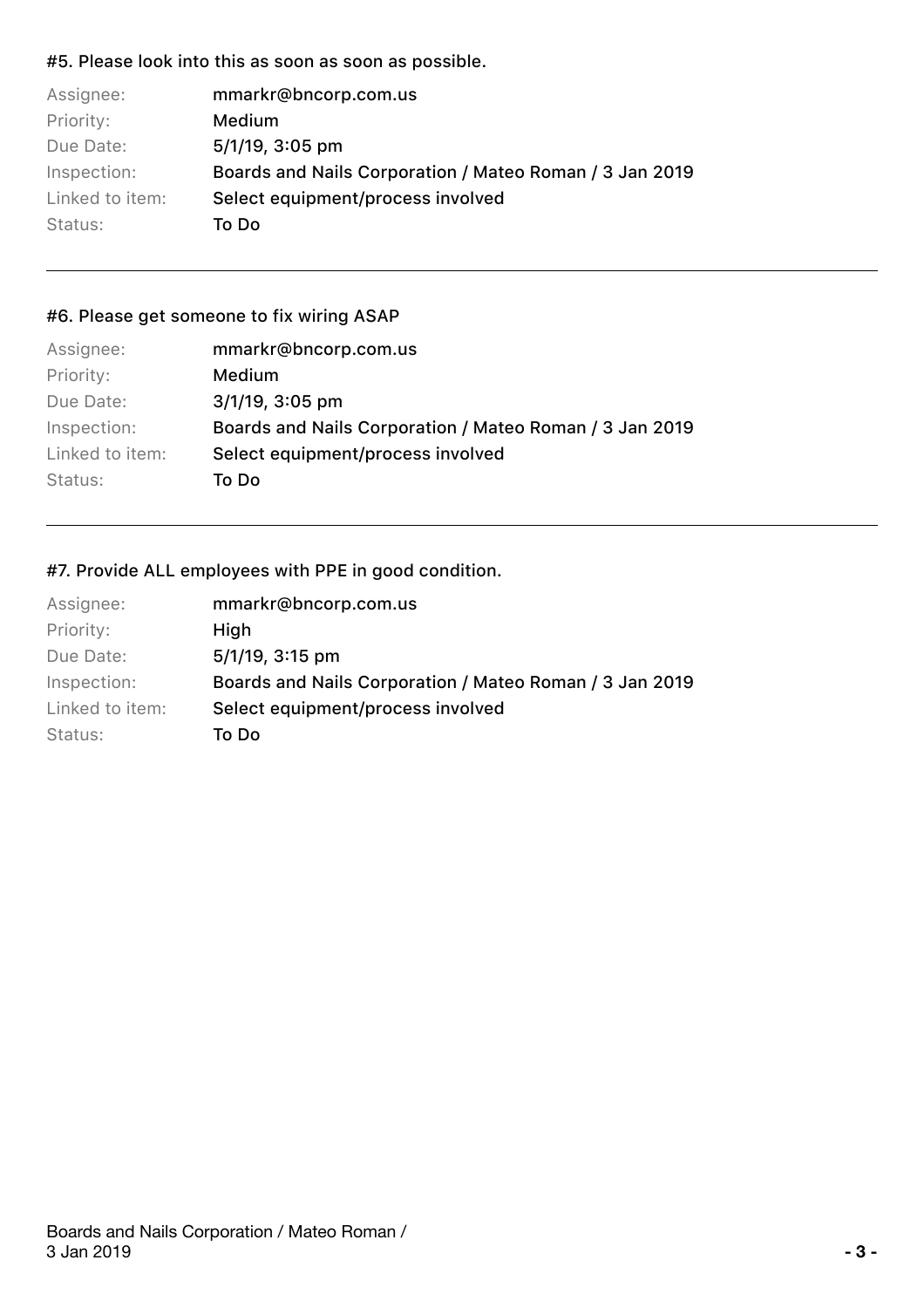#### #5. Please look into this as soon as soon as possible.

| Assignee:       | mmarkr@bncorp.com.us                                    |
|-----------------|---------------------------------------------------------|
| Priority:       | Medium                                                  |
| Due Date:       | $5/1/19$ , 3:05 pm                                      |
| Inspection:     | Boards and Nails Corporation / Mateo Roman / 3 Jan 2019 |
| Linked to item: | Select equipment/process involved                       |
| Status:         | To Do                                                   |

#### #6. Please get someone to fix wiring ASAP

| Assignee:       | mmarkr@bncorp.com.us                                    |
|-----------------|---------------------------------------------------------|
| Priority:       | Medium                                                  |
| Due Date:       | $3/1/19$ , $3:05$ pm                                    |
| Inspection:     | Boards and Nails Corporation / Mateo Roman / 3 Jan 2019 |
| Linked to item: | Select equipment/process involved                       |
| Status:         | To Do                                                   |
|                 |                                                         |

#### #7. Provide ALL employees with PPE in good condition.

| Assignee:       | mmarkr@bncorp.com.us                                    |
|-----------------|---------------------------------------------------------|
| Priority:       | High                                                    |
| Due Date:       | 5/1/19, 3:15 pm                                         |
| Inspection:     | Boards and Nails Corporation / Mateo Roman / 3 Jan 2019 |
| Linked to item: | Select equipment/process involved                       |
| Status:         | To Do                                                   |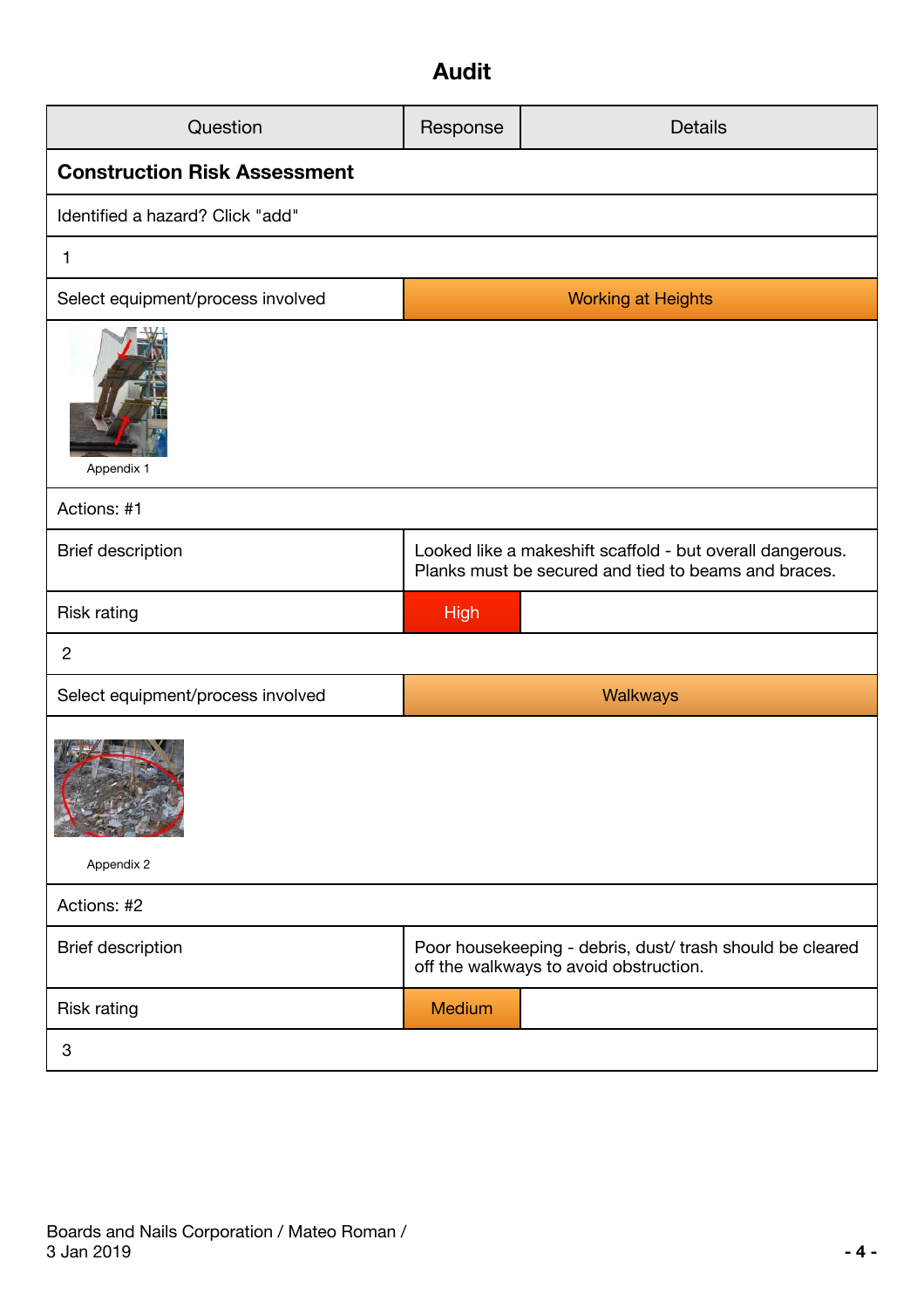## **Audit**

| Question                            | Response                                                                                                          | <b>Details</b>                                                                                      |  |  |  |  |
|-------------------------------------|-------------------------------------------------------------------------------------------------------------------|-----------------------------------------------------------------------------------------------------|--|--|--|--|
| <b>Construction Risk Assessment</b> |                                                                                                                   |                                                                                                     |  |  |  |  |
| Identified a hazard? Click "add"    |                                                                                                                   |                                                                                                     |  |  |  |  |
| 1                                   |                                                                                                                   |                                                                                                     |  |  |  |  |
| Select equipment/process involved   |                                                                                                                   | <b>Working at Heights</b>                                                                           |  |  |  |  |
| Appendix 1                          |                                                                                                                   |                                                                                                     |  |  |  |  |
| Actions: #1                         |                                                                                                                   |                                                                                                     |  |  |  |  |
| <b>Brief description</b>            | Looked like a makeshift scaffold - but overall dangerous.<br>Planks must be secured and tied to beams and braces. |                                                                                                     |  |  |  |  |
| <b>Risk rating</b>                  | <b>High</b>                                                                                                       |                                                                                                     |  |  |  |  |
| $\overline{c}$                      |                                                                                                                   |                                                                                                     |  |  |  |  |
| Select equipment/process involved   |                                                                                                                   | Walkways                                                                                            |  |  |  |  |
| Appendix 2                          |                                                                                                                   |                                                                                                     |  |  |  |  |
| Actions: #2                         |                                                                                                                   |                                                                                                     |  |  |  |  |
| <b>Brief description</b>            |                                                                                                                   | Poor housekeeping - debris, dust/ trash should be cleared<br>off the walkways to avoid obstruction. |  |  |  |  |
| <b>Risk rating</b>                  | Medium                                                                                                            |                                                                                                     |  |  |  |  |
| 3                                   |                                                                                                                   |                                                                                                     |  |  |  |  |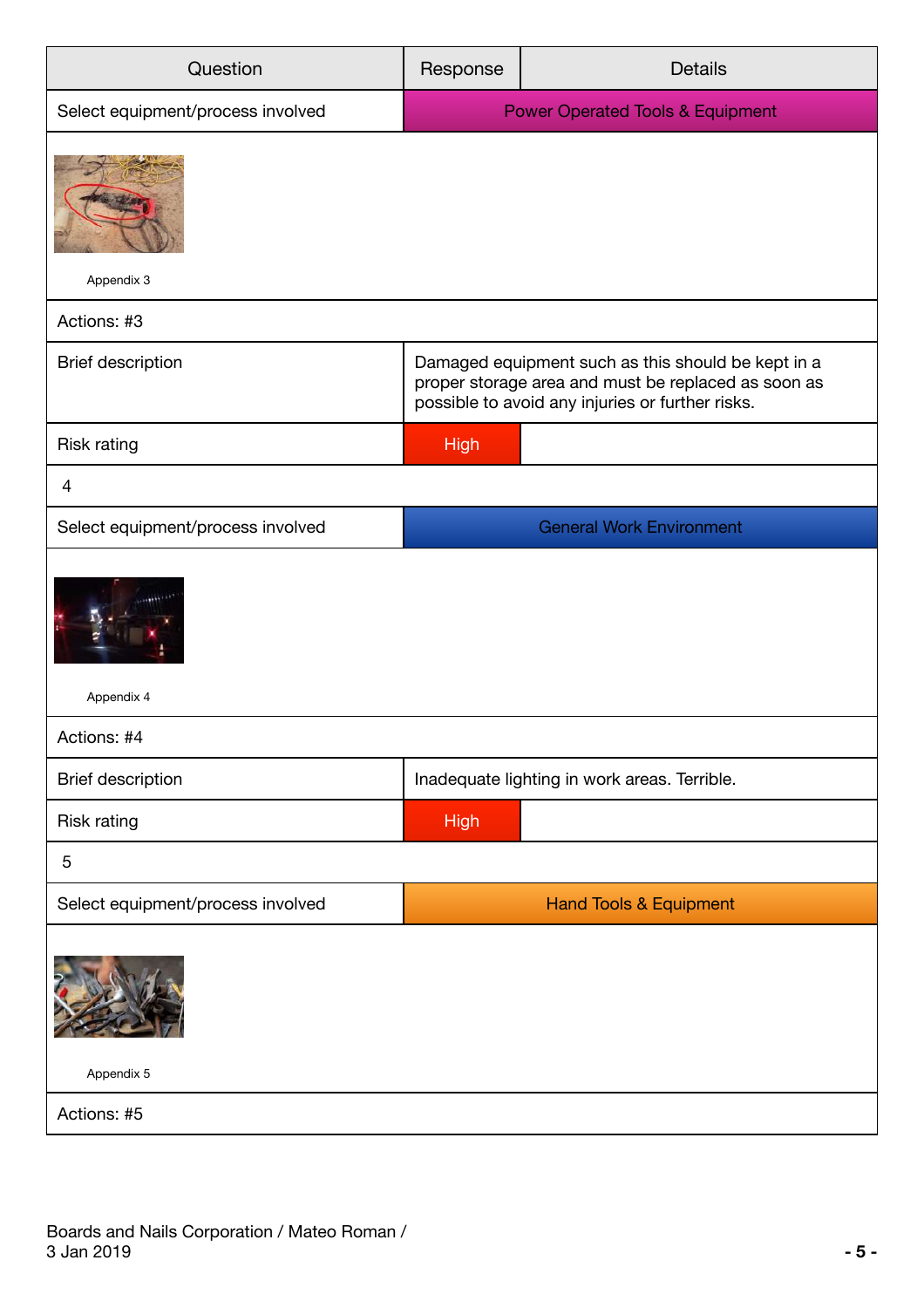| Question                          | <b>Details</b><br>Response                                                                                                                                    |                                              |  |
|-----------------------------------|---------------------------------------------------------------------------------------------------------------------------------------------------------------|----------------------------------------------|--|
| Select equipment/process involved | <b>Power Operated Tools &amp; Equipment</b>                                                                                                                   |                                              |  |
| Appendix 3                        |                                                                                                                                                               |                                              |  |
| Actions: #3                       |                                                                                                                                                               |                                              |  |
| <b>Brief description</b>          | Damaged equipment such as this should be kept in a<br>proper storage area and must be replaced as soon as<br>possible to avoid any injuries or further risks. |                                              |  |
| <b>Risk rating</b>                | <b>High</b>                                                                                                                                                   |                                              |  |
| 4                                 |                                                                                                                                                               |                                              |  |
| Select equipment/process involved | <b>General Work Environment</b>                                                                                                                               |                                              |  |
| Appendix 4                        |                                                                                                                                                               |                                              |  |
| Actions: #4                       |                                                                                                                                                               |                                              |  |
| <b>Brief description</b>          |                                                                                                                                                               | Inadequate lighting in work areas. Terrible. |  |
| <b>Risk rating</b>                | <b>High</b>                                                                                                                                                   |                                              |  |
| 5                                 |                                                                                                                                                               |                                              |  |
| Select equipment/process involved |                                                                                                                                                               | <b>Hand Tools &amp; Equipment</b>            |  |
|                                   |                                                                                                                                                               |                                              |  |
| Appendix 5                        |                                                                                                                                                               |                                              |  |
| Actions: #5                       |                                                                                                                                                               |                                              |  |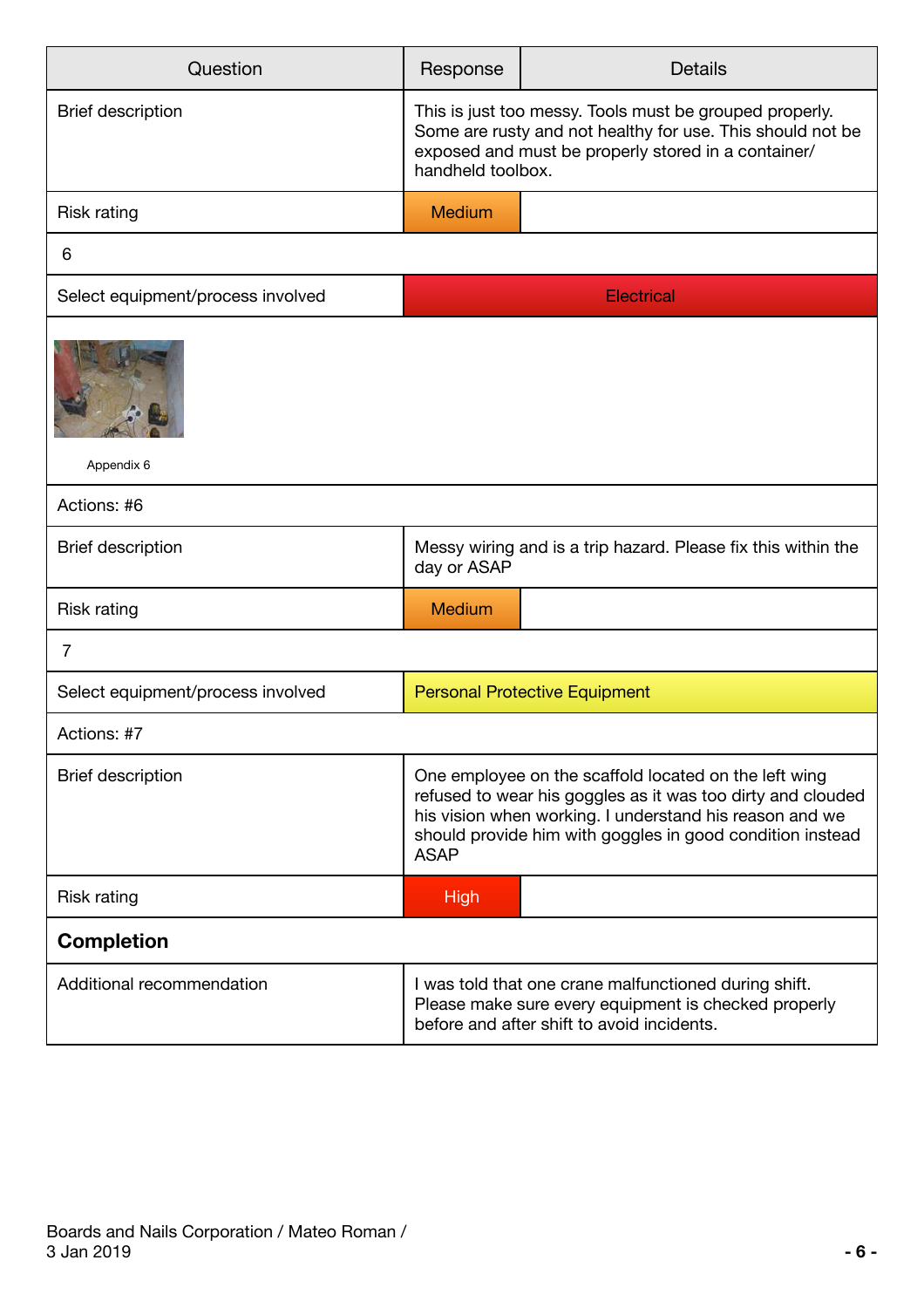| Question                          | Response                                                                                                                                                                                                                                                    | <b>Details</b>                                                |  |
|-----------------------------------|-------------------------------------------------------------------------------------------------------------------------------------------------------------------------------------------------------------------------------------------------------------|---------------------------------------------------------------|--|
| <b>Brief description</b>          | This is just too messy. Tools must be grouped properly.<br>Some are rusty and not healthy for use. This should not be<br>exposed and must be properly stored in a container/<br>handheld toolbox.                                                           |                                                               |  |
| <b>Risk rating</b>                | <b>Medium</b>                                                                                                                                                                                                                                               |                                                               |  |
| 6                                 |                                                                                                                                                                                                                                                             |                                                               |  |
| Select equipment/process involved |                                                                                                                                                                                                                                                             | <b>Electrical</b>                                             |  |
| Appendix 6                        |                                                                                                                                                                                                                                                             |                                                               |  |
| Actions: #6                       |                                                                                                                                                                                                                                                             |                                                               |  |
| <b>Brief description</b>          | day or ASAP                                                                                                                                                                                                                                                 | Messy wiring and is a trip hazard. Please fix this within the |  |
| <b>Risk rating</b>                | <b>Medium</b>                                                                                                                                                                                                                                               |                                                               |  |
| $\overline{7}$                    |                                                                                                                                                                                                                                                             |                                                               |  |
| Select equipment/process involved | <b>Personal Protective Equipment</b>                                                                                                                                                                                                                        |                                                               |  |
| Actions: #7                       |                                                                                                                                                                                                                                                             |                                                               |  |
| <b>Brief description</b>          | One employee on the scaffold located on the left wing<br>refused to wear his goggles as it was too dirty and clouded<br>his vision when working. I understand his reason and we<br>should provide him with goggles in good condition instead<br><b>ASAP</b> |                                                               |  |
| Risk rating                       | <b>High</b>                                                                                                                                                                                                                                                 |                                                               |  |
| <b>Completion</b>                 |                                                                                                                                                                                                                                                             |                                                               |  |
| Additional recommendation         | I was told that one crane malfunctioned during shift.<br>Please make sure every equipment is checked properly<br>before and after shift to avoid incidents.                                                                                                 |                                                               |  |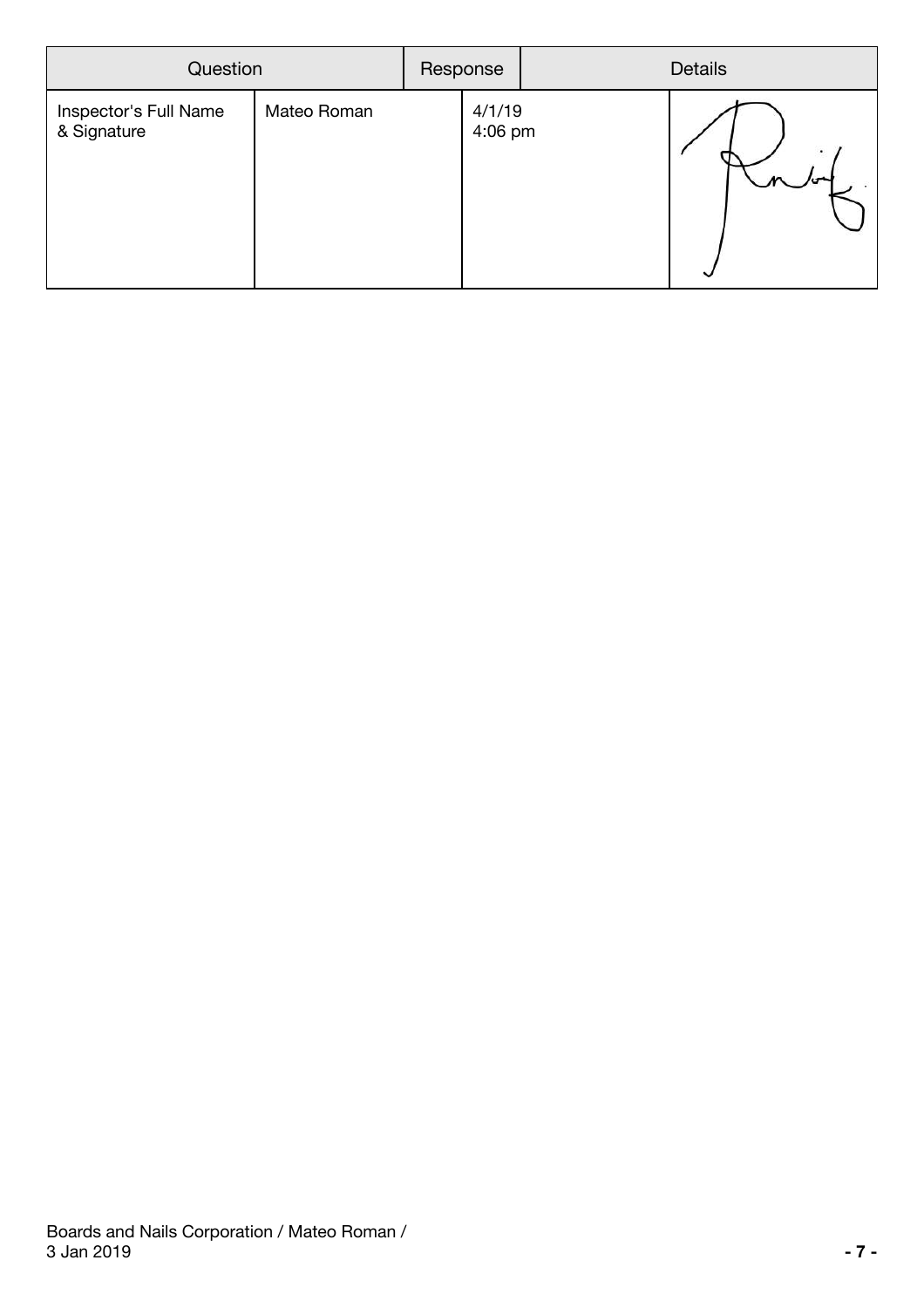| Question                             |             | Response |                   | <b>Details</b> |  |
|--------------------------------------|-------------|----------|-------------------|----------------|--|
| Inspector's Full Name<br>& Signature | Mateo Roman |          | 4/1/19<br>4:06 pm |                |  |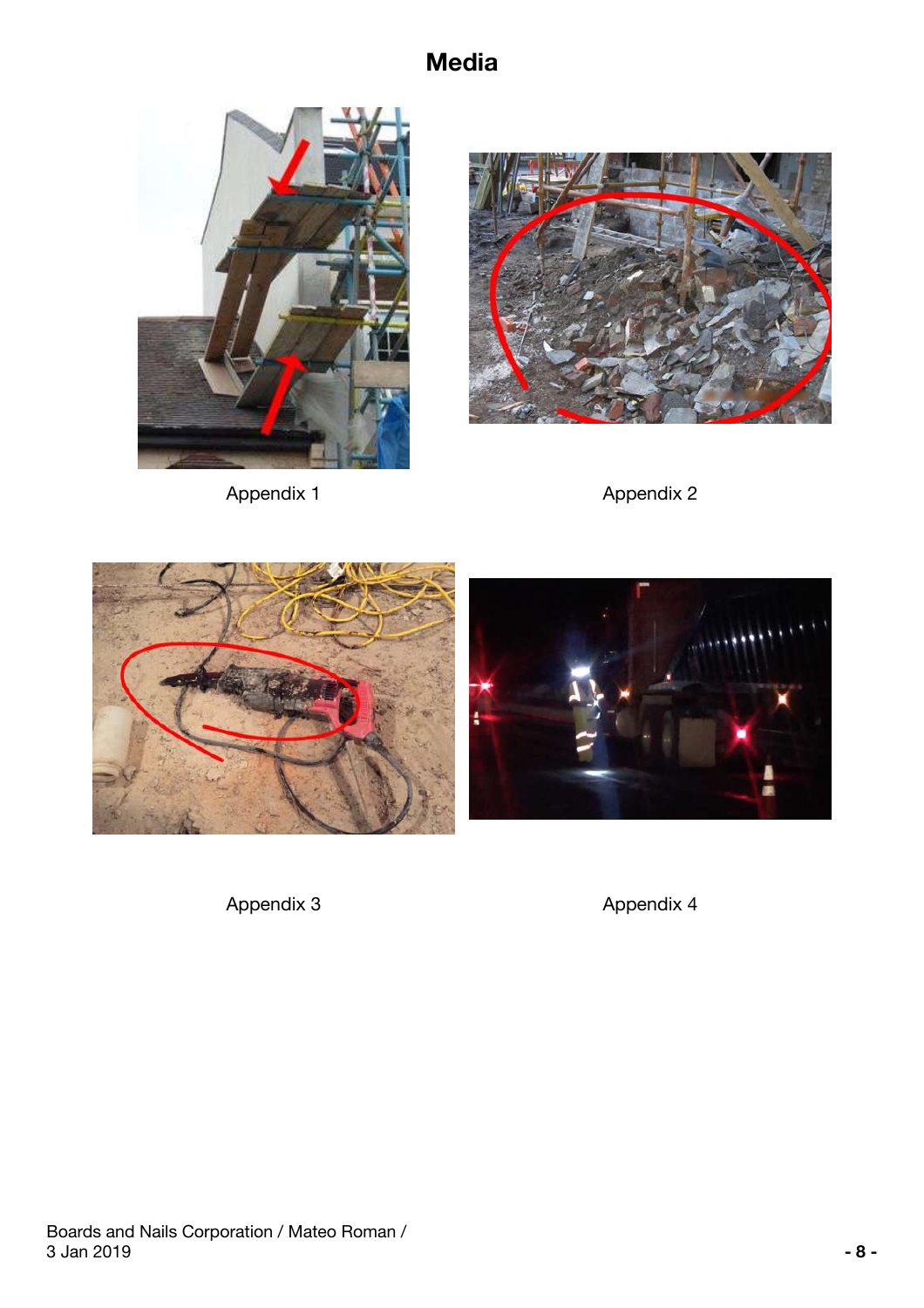## **Media**









Appendix 3 Appendix 4